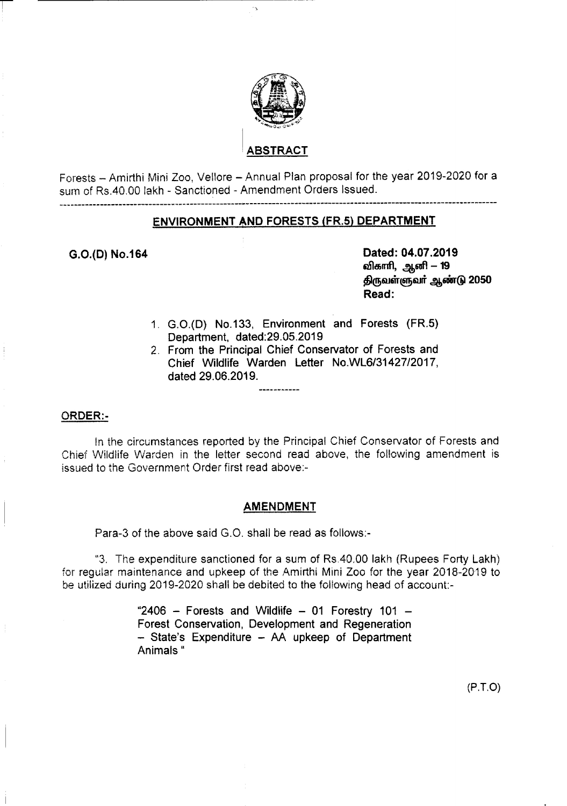

# **\BSTRACT**

Forests - Amirthi Mini *Zoo,* Vellore - Annual Plan proposal for the year 2019-2020 for a sum of Rs.40.00 lakh - Sanctioned - Amendment Orders Issued.

## ENVIRONMENT AND FORESTS (FR.5) DEPARTMENT

-------------------------------------------------.-------------------------------------------------------------------

---------------------------

G.O.{D) NO.1S4 Dated: 04.07.2019 விகாரி, ஆனி <mark>– 19</mark> திருவள்ளுவர் ஆண்டு 2050 Read:

- 1. G.O.(D) No.133, Environment and Forests (FR.5) Department, dated: 29.05.2019
- 2. From the Principal Chief Conservator of Forests and Chief Wildlife Warden Letter *NO.WL6/31427/2017,* dated 29.06.2019.

#### ORDER:-

In the circumstances reported by the Principal Chief Conservator of Forests and Chief Wildlife Warden in the letter second read above, the following amendment is issued to the Government Order first read above:-

#### AMENDMENT

Para-3 of the above said G.O. shall be read as follows:-

"3. The expenditure sanctioned for a sum of Rs.40.00 lakh (Rupees Forty Lakh) for regular maintenance and upkeep of the Amirthi Mini Zoo for the year 2018-2019 to be utilized during 2019-2020 shall be debited to the following head of account-

> "2406 – Forests and Wildlife – 01 Forestry 101 – Forest Conservation, Development and Regeneration - State's Expenditure - AA upkeep of Department Animals"

> > (P.T.O)